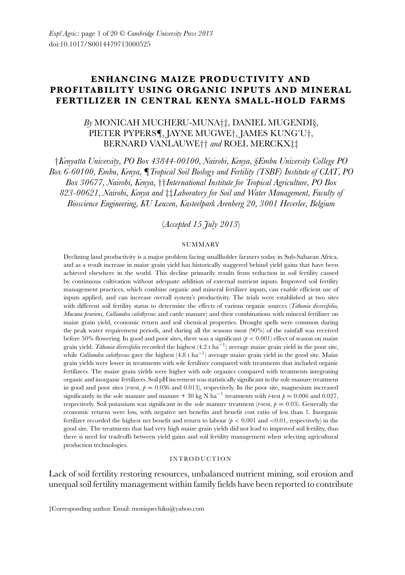# **ENHANCING MAIZE PRODUCTIVITY AND PROFITABILITY USING ORGANIC INPUTS AND MINERAL FERTILIZER IN CENTRAL KENYA SMALL-HOLD FARMS**

# *By* MONICAH MUCHERU-MUNA†‡, DANIEL MUGENDI§, PIETER PYPERS¶, JAYNE MUGWE†, JAMES KUNG'U†, BERNARD VANLAUWE†† *and* ROEL MERCKX‡‡

†*Kenyatta University, PO Box 43844-00100, Nairobi, Kenya*, *§Embu University College PO Box 6-60100, Embu, Kenya*, ¶*Tropical Soil Biology and Fertility (TSBF) Institute of CIAT, PO Box 30677, Nairobi, Kenya*, ††*International Institute for Tropical Agriculture, PO Box 823-00621, Nairobi, Kenya and* ‡‡*Laboratory for Soil and Water Management, Faculty of Bioscience Engineering, KU Leuven, Kasteelpark Arenberg 20, 3001 Heverlee, Belgium*

(*Accepted 15 July 2013*)

#### SUMMARY

Declining land productivity is a major problem facing smallholder farmers today in Sub-Saharan Africa, and as a result increase in maize grain yield has historically staggered behind yield gains that have been achieved elsewhere in the world. This decline primarily results from reduction in soil fertility caused by continuous cultivation without adequate addition of external nutrient inputs. Improved soil fertility management practices, which combine organic and mineral fertilizer inputs, can enable efficient use of inputs applied, and can increase overall system's productivity. The trials were established at two sites with different soil fertility status to determine the effects of various organic sources (*Tithonia diversifolia*, *Mucuna pruriens*, *Calliandra calothyrsus* and cattle manure) and their combinations with mineral fertilizer on maize grain yield, economic return and soil chemical properties. Drought spells were common during the peak water requirement periods, and during all the seasons most (90%) of the rainfall was received before 50% flowering. In good and poor sites, there was a significant  $(p < 0.001)$  effect of season on maize grain yield. *Tithonia diversifolia* recorded the highest (4.2 t ha−1) average maize grain yield in the poor site, while *Calliandra calothyrsus* gave the highest (4.8 t ha−1) average maize grain yield in the good site. Maize grain yields were lower in treatments with sole fertilizer compared with treatments that included organic fertilizers. The maize grain yields were higher with sole organics compared with treatments integrating organic and inorganic fertilizers. Soil pH increment was statistically significant in the sole manure treatment in good and poor sites ( $t$ -test,  $p = 0.036$  and 0.013), respectively. In the poor site, magnesium increased significantly in the sole manure and manure + 30 kg N ha<sup>-1</sup> treatments with *t*-test  $p = 0.006$  and 0.027, respectively. Soil potassium was significant in the sole manure treatment ( $t$ -test,  $p = 0.03$ ). Generally the economic returns were low, with negative net benefits and benefit cost ratio of less than 1. Inorganic fertilizer recorded the highest net benefit and return to labour  $(p < 0.001$  and  $< 0.01$ , respectively) in the good site. The treatments that had very high maize grain yields did not lead to improved soil fertility, thus there is need for tradeoffs between yield gains and soil fertility management when selecting agricultural production technologies.

### INTRODUCTION

Lack of soil fertility restoring resources, unbalanced nutrient mining, soil erosion and unequal soil fertility management within family fields have been reported to contribute

‡Corresponding author. Email: moniquechiku@yahoo.com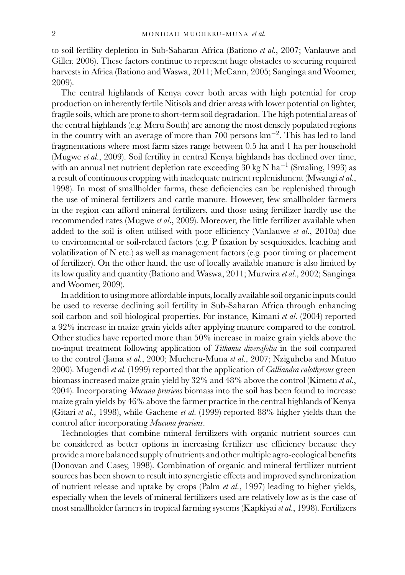to soil fertility depletion in Sub-Saharan Africa (Bationo *et al.*, 2007; Vanlauwe and Giller, 2006). These factors continue to represent huge obstacles to securing required harvests in Africa (Bationo and Waswa, 2011; McCann, 2005; Sanginga and Woomer, 2009).

The central highlands of Kenya cover both areas with high potential for crop production on inherently fertile Nitisols and drier areas with lower potential on lighter, fragile soils, which are prone to short-term soil degradation. The high potential areas of the central highlands (e.g. Meru South) are among the most densely populated regions in the country with an average of more than 700 persons km−2. This has led to land fragmentations where most farm sizes range between 0.5 ha and 1 ha per household (Mugwe *et al*., 2009). Soil fertility in central Kenya highlands has declined over time, with an annual net nutrient depletion rate exceeding 30 kg N ha−<sup>1</sup> (Smaling, 1993) as a result of continuous cropping with inadequate nutrient replenishment (Mwangi *et al*., 1998). In most of smallholder farms, these deficiencies can be replenished through the use of mineral fertilizers and cattle manure. However, few smallholder farmers in the region can afford mineral fertilizers, and those using fertilizer hardly use the recommended rates (Mugwe *et al*., 2009). Moreover, the little fertilizer available when added to the soil is often utilised with poor efficiency (Vanlauwe *et al*., 2010a) due to environmental or soil-related factors (e.g. P fixation by sesquioxides, leaching and volatilization of N etc.) as well as management factors (e.g. poor timing or placement of fertilizer). On the other hand, the use of locally available manure is also limited by its low quality and quantity (Bationo and Waswa, 2011; Murwira *et al*., 2002; Sanginga and Woomer, 2009).

In addition to using more affordable inputs, locally available soil organic inputs could be used to reverse declining soil fertility in Sub-Saharan Africa through enhancing soil carbon and soil biological properties. For instance, Kimani *et al*. (2004) reported a 92% increase in maize grain yields after applying manure compared to the control. Other studies have reported more than 50% increase in maize grain yields above the no-input treatment following application of *Tithonia diversifolia* in the soil compared to the control (Jama *et al*., 2000; Mucheru-Muna *et al*., 2007; Nziguheba and Mutuo 2000). Mugendi *et al.* (1999) reported that the application of *Calliandra calothyrsus* green biomass increased maize grain yield by 32% and 48% above the control (Kimetu *et al*., 2004). Incorporating *Mucuna pruriens* biomass into the soil has been found to increase maize grain yields by 46% above the farmer practice in the central highlands of Kenya (Gitari *et al*., 1998), while Gachene *et al*. (1999) reported 88% higher yields than the control after incorporating *Mucuna pruriens*.

Technologies that combine mineral fertilizers with organic nutrient sources can be considered as better options in increasing fertilizer use efficiency because they provide a more balanced supply of nutrients and other multiple agro-ecological benefits (Donovan and Casey, 1998). Combination of organic and mineral fertilizer nutrient sources has been shown to result into synergistic effects and improved synchronization of nutrient release and uptake by crops (Palm *et al*., 1997) leading to higher yields, especially when the levels of mineral fertilizers used are relatively low as is the case of most smallholder farmers in tropical farming systems (Kapkiyai *et al*., 1998). Fertilizers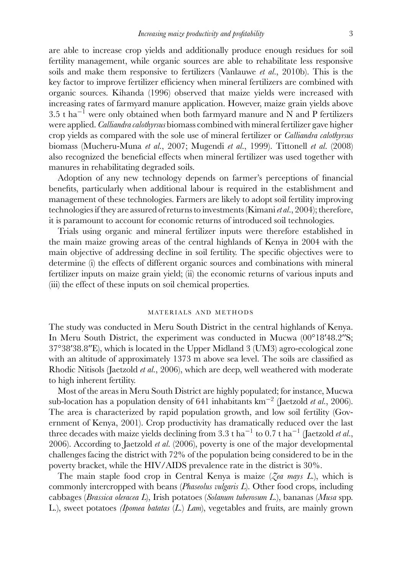are able to increase crop yields and additionally produce enough residues for soil fertility management, while organic sources are able to rehabilitate less responsive soils and make them responsive to fertilizers (Vanlauwe *et al.*, 2010b). This is the key factor to improve fertilizer efficiency when mineral fertilizers are combined with organic sources. Kihanda (1996) observed that maize yields were increased with increasing rates of farmyard manure application. However, maize grain yields above 3.5 t ha<sup> $-1$ </sup> were only obtained when both farmyard manure and N and P fertilizers were applied. *Calliandra calothyrsus* biomass combined with mineral fertilizer gave higher crop yields as compared with the sole use of mineral fertilizer or *Calliandra calothyrsus* biomass (Mucheru-Muna *et al*., 2007; Mugendi *et al*., 1999). Tittonell *et al*. (2008) also recognized the beneficial effects when mineral fertilizer was used together with manures in rehabilitating degraded soils.

Adoption of any new technology depends on farmer's perceptions of financial benefits, particularly when additional labour is required in the establishment and management of these technologies. Farmers are likely to adopt soil fertility improving technologies if they are assured of returns to investments (Kimani *et al*., 2004); therefore, it is paramount to account for economic returns of introduced soil technologies.

Trials using organic and mineral fertilizer inputs were therefore established in the main maize growing areas of the central highlands of Kenya in 2004 with the main objective of addressing decline in soil fertility. The specific objectives were to determine (i) the effects of different organic sources and combinations with mineral fertilizer inputs on maize grain yield; (ii) the economic returns of various inputs and (iii) the effect of these inputs on soil chemical properties.

## MATERIALS AND METHODS

The study was conducted in Meru South District in the central highlands of Kenya. In Meru South District, the experiment was conducted in Mucwa  $(00^{\circ}18'48.2''S;$ 37°38ʹ38.8ʹʹE), which is located in the Upper Midland 3 (UM3) agro-ecological zone with an altitude of approximately 1373 m above sea level. The soils are classified as Rhodic Nitisols (Jaetzold *et al*., 2006), which are deep, well weathered with moderate to high inherent fertility.

Most of the areas in Meru South District are highly populated; for instance, Mucwa sub-location has a population density of 641 inhabitants km−<sup>2</sup> (Jaetzold *et al*., 2006). The area is characterized by rapid population growth, and low soil fertility (Government of Kenya, 2001). Crop productivity has dramatically reduced over the last three decades with maize yields declining from 3.3 t ha<sup>-1</sup> to 0.7 t ha<sup>-1</sup> (Jaetzold *et al.*, 2006). According to Jaetzold *et al*. (2006), poverty is one of the major developmental challenges facing the district with 72% of the population being considered to be in the poverty bracket, while the HIV/AIDS prevalence rate in the district is 30%.

The main staple food crop in Central Kenya is maize (*Zea mays L.*), which is commonly intercropped with beans (*Phaseolus vulgaris L*). Other food crops, including cabbages (*Brassica oleracea L*), Irish potatoes (*Solanum tuberosum L*.), bananas (*Musa* spp. L.), sweet potatoes *(Ipomea batatas* (*L*.) *Lam*), vegetables and fruits, are mainly grown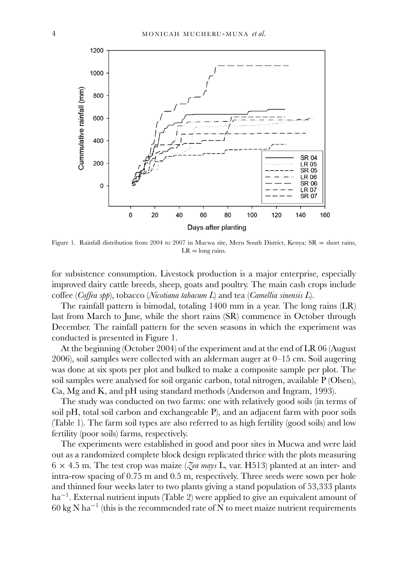

Figure 1. Rainfall distribution from 2004 to 2007 in Mucwa site, Meru South District, Kenya; SR = short rains,  $LR = \text{long rains.}$ 

for subsistence consumption. Livestock production is a major enterprise, especially improved dairy cattle breeds, sheep, goats and poultry. The main cash crops include coffee (*Coffea spp*), tobacco (*Nicotiana tabacum L*) and tea (*Camellia sinensis L*).

The rainfall pattern is bimodal, totaling 1400 mm in a year. The long rains (LR) last from March to June, while the short rains (SR) commence in October through December. The rainfall pattern for the seven seasons in which the experiment was conducted is presented in Figure 1.

At the beginning (October 2004) of the experiment and at the end of LR 06 (August 2006), soil samples were collected with an alderman auger at 0–15 cm. Soil augering was done at six spots per plot and bulked to make a composite sample per plot. The soil samples were analysed for soil organic carbon, total nitrogen, available P (Olsen), Ca, Mg and K, and pH using standard methods (Anderson and Ingram, 1993).

The study was conducted on two farms: one with relatively good soils (in terms of soil pH, total soil carbon and exchangeable P), and an adjacent farm with poor soils (Table 1). The farm soil types are also referred to as high fertility (good soils) and low fertility (poor soils) farms, respectively.

The experiments were established in good and poor sites in Mucwa and were laid out as a randomized complete block design replicated thrice with the plots measuring  $6 \times 4.5$  m. The test crop was maize ( $\zeta_{ea}$  mays L, var. H513) planted at an inter- and intra-row spacing of 0.75 m and 0.5 m, respectively. Three seeds were sown per hole and thinned four weeks later to two plants giving a stand population of 53,333 plants ha<sup>-1</sup>. External nutrient inputs (Table 2) were applied to give an equivalent amount of  $60 \text{ kg N} \text{ ha}^{-1}$  (this is the recommended rate of N to meet maize nutrient requirements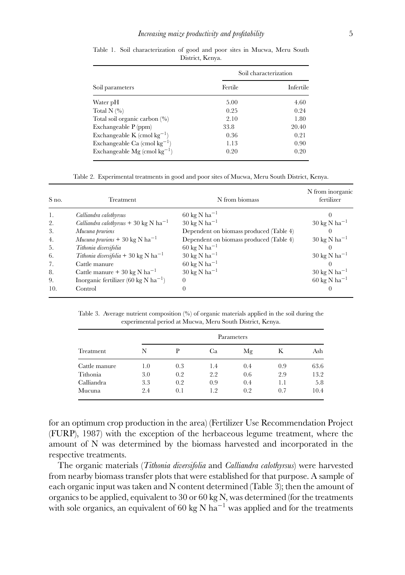|                                         | Soil characterization |           |  |  |  |  |  |
|-----------------------------------------|-----------------------|-----------|--|--|--|--|--|
| Soil parameters                         | Fertile               | Infertile |  |  |  |  |  |
| Water pH                                | 5.00                  | 4.60      |  |  |  |  |  |
| Total N $(%)$                           | 0.25                  | 0.24      |  |  |  |  |  |
| Total soil organic carbon $(\%)$        | 2.10                  | 1.80      |  |  |  |  |  |
| Exchangeable P (ppm)                    | 33.8                  | 20.40     |  |  |  |  |  |
| Exchangeable K (cmol kg <sup>-1</sup> ) | 0.36                  | 0.21      |  |  |  |  |  |
| Exchangeable Ca (cmol $kg^{-1}$ )       | 1.13                  | 0.90      |  |  |  |  |  |
| Exchangeable Mg (cmol $kg^{-1}$ )       | 0.20                  | 0.20      |  |  |  |  |  |

Table 1. Soil characterization of good and poor sites in Mucwa, Meru South District, Kenya.

Table 2. Experimental treatments in good and poor sites of Mucwa, Meru South District, Kenya.

| S no. | Treatment                                                | N from biomass                          | N from inorganic<br>fertilizer     |
|-------|----------------------------------------------------------|-----------------------------------------|------------------------------------|
| -1.   | Calliandra calothyrsus                                   | $60 \text{ kg N} \text{ ha}^{-1}$       |                                    |
| 2.    | <i>Calliandra calothyrsus</i> + 30 kg N ha <sup>-1</sup> | $30 \text{ kg N} \text{ ha}^{-1}$       | $30 \text{ kg}$ N ha <sup>-1</sup> |
| 3.    | Mucuna pruriens                                          | Dependent on biomass produced (Table 4) |                                    |
| 4.    | Mucuna pruriens + 30 kg N ha <sup>-1</sup>               | Dependent on biomass produced (Table 4) | $30 \text{ kg}$ N ha <sup>-1</sup> |
| 5.    | Tithonia diversifolia                                    | $60 \text{ kg N} \text{ ha}^{-1}$       |                                    |
| 6.    | <i>Tithonia diversifolia</i> + 30 kg N ha <sup>-1</sup>  | $30 \text{ kg N} \text{ ha}^{-1}$       | $30 \text{ kg N} \text{ ha}^{-1}$  |
| 7.    | Cattle manure                                            | $60 \text{ kg N} \text{ ha}^{-1}$       |                                    |
| 8.    | Cattle manure $+30 \text{ kg N} \text{ ha}^{-1}$         | $30 \text{ kg N} \text{ ha}^{-1}$       | $30 \text{ kg N} \text{ ha}^{-1}$  |
| 9.    | Inorganic fertilizer (60 kg N ha <sup>-1</sup> )         | 0                                       | $60 \text{ kg N} \text{ ha}^{-1}$  |
| 10.   | Control                                                  |                                         |                                    |

Table 3. Average nutrient composition (%) of organic materials applied in the soil during the experimental period at Mucwa, Meru South District, Kenya.

| Treatment     | Parameters |     |     |     |     |      |  |  |  |  |  |
|---------------|------------|-----|-----|-----|-----|------|--|--|--|--|--|
|               | N          | P   | Ca  | Μg  | Κ   | Ash  |  |  |  |  |  |
| Cattle manure | 1.0        | 0.3 | 1.4 | 0.4 | 0.9 | 63.6 |  |  |  |  |  |
| Tithonia      | 3.0        | 0.2 | 2.2 | 0.6 | 2.9 | 13.2 |  |  |  |  |  |
| Calliandra    | 3.3        | 0.2 | 0.9 | 0.4 | 1.1 | 5.8  |  |  |  |  |  |
| Mucuna        | 2.4        | 0.1 | 1.2 | 0.2 | 0.7 | 10.4 |  |  |  |  |  |

for an optimum crop production in the area) (Fertilizer Use Recommendation Project (FURP), 1987) with the exception of the herbaceous legume treatment, where the amount of N was determined by the biomass harvested and incorporated in the respective treatments.

The organic materials (*Tithonia diversifolia* and *Calliandra calothyrsus*) were harvested from nearby biomass transfer plots that were established for that purpose. A sample of each organic input was taken and N content determined (Table 3); then the amount of organics to be applied, equivalent to 30 or 60 kg N, was determined (for the treatments with sole organics, an equivalent of 60 kg N ha<sup>-1</sup> was applied and for the treatments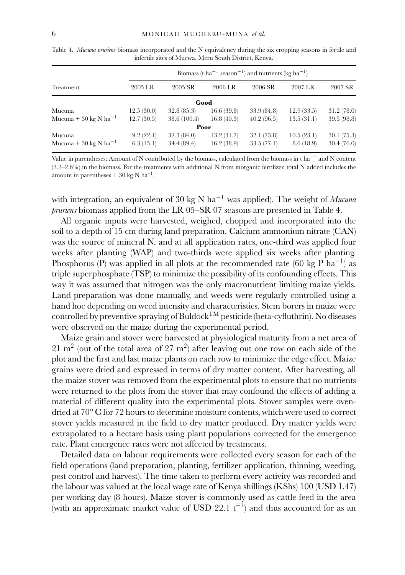|                                   | Biomass (t ha <sup>-1</sup> season <sup>-1</sup> ) and nutrients (kg ha <sup>-1</sup> ) |              |            |             |            |            |  |  |  |  |  |
|-----------------------------------|-----------------------------------------------------------------------------------------|--------------|------------|-------------|------------|------------|--|--|--|--|--|
| Treatment                         | 2005 LR                                                                                 | 2005 SR      | 2006 LR    | 2006 SR     | 2007 LR    | 2007 SR    |  |  |  |  |  |
|                                   |                                                                                         | Good         |            |             |            |            |  |  |  |  |  |
| Mucuna                            | 12.5(30.0)                                                                              | 32.8(85.3)   | 16.6(39.8) | 33.9 (84.8) | 12.9(33.5) | 31.2(78.0) |  |  |  |  |  |
| Mucuna + 30 kg N $ha^{-1}$        | 12.7(30.5)                                                                              | 38.6 (100.4) | 16.8(40.3) | 40.2(96.5)  | 13.5(31.1) | 39.5(98.8) |  |  |  |  |  |
|                                   |                                                                                         | Poor         |            |             |            |            |  |  |  |  |  |
| Mucuna                            | 9.2(22.1)                                                                               | 32.3(84.0)   | 13.2(31.7) | 32.1(73.8)  | 10.5(23.1) | 30.1(75.3) |  |  |  |  |  |
| Mucuna + 30 kg N ha <sup>-1</sup> | 6.3(15.1)                                                                               | 34.4(89.4)   | 16.2(38.9) | 33.5(77.1)  | 8.6(18.9)  | 30.4(76.0) |  |  |  |  |  |

Table 4. *Mucuna pruriens* biomass incorporated and the N equivalency during the six cropping seasons in fertile and infertile sites of Mucwa, Meru South District, Kenya.

Value in parentheses: Amount of N contributed by the biomass, calculated from the biomass in tha<sup>-1</sup> and N content (2.2–2.6%) in the biomass. For the treatments with additional N from inorganic fertilizer, total N added includes the amount in parentheses  $+30 \text{ kg N} \text{ ha}^{-1}$ .

with integration, an equivalent of 30 kg N ha−<sup>1</sup> was applied). The weight of *Mucuna pruriens* biomass applied from the LR 05–SR 07 seasons are presented in Table 4.

All organic inputs were harvested, weighed, chopped and incorporated into the soil to a depth of 15 cm during land preparation. Calcium ammonium nitrate (CAN) was the source of mineral N, and at all application rates, one-third was applied four weeks after planting (WAP) and two-thirds were applied six weeks after planting. Phosphorus (P) was applied in all plots at the recommended rate (60 kg P ha<sup>-1</sup>) as triple superphosphate (TSP) to minimize the possibility of its confounding effects. This way it was assumed that nitrogen was the only macronutrient limiting maize yields. Land preparation was done manually, and weeds were regularly controlled using a hand hoe depending on weed intensity and characteristics. Stem borers in maize were controlled by preventive spraying of Buldock<sup>TM</sup> pesticide (beta-cyfluthrin). No diseases were observed on the maize during the experimental period.

Maize grain and stover were harvested at physiological maturity from a net area of  $21 \text{ m}^2$  (out of the total area of  $27 \text{ m}^2$ ) after leaving out one row on each side of the plot and the first and last maize plants on each row to minimize the edge effect. Maize grains were dried and expressed in terms of dry matter content. After harvesting, all the maize stover was removed from the experimental plots to ensure that no nutrients were returned to the plots from the stover that may confound the effects of adding a material of different quality into the experimental plots. Stover samples were ovendried at 70° C for 72 hours to determine moisture contents, which were used to correct stover yields measured in the field to dry matter produced. Dry matter yields were extrapolated to a hectare basis using plant populations corrected for the emergence rate. Plant emergence rates were not affected by treatments.

Detailed data on labour requirements were collected every season for each of the field operations (land preparation, planting, fertilizer application, thinning, weeding, pest control and harvest). The time taken to perform every activity was recorded and the labour was valued at the local wage rate of Kenya shillings (KShs) 100 (USD 1.47) per working day (8 hours). Maize stover is commonly used as cattle feed in the area (with an approximate market value of USD 22.1 t<sup>-1</sup>) and thus accounted for as an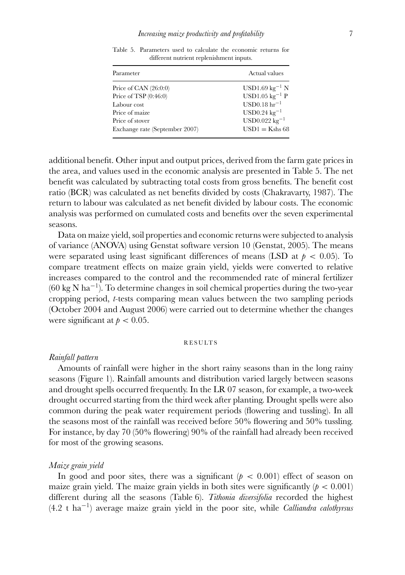| Parameter                      | Actual values             |
|--------------------------------|---------------------------|
| Price of CAN $(26:0:0)$        | $USD1.69 kg^{-1} N$       |
| Price of TSP $(0.46:0)$        | USD1.05 $kg^{-1}$ P       |
| Labour cost                    | $USD0.18 \text{ hr}^{-1}$ |
| Price of maize                 | $USD0.24 \text{ kg}^{-1}$ |
| Price of stover                | $USD0.022 kg^{-1}$        |
| Exchange rate (September 2007) | $USD1 = Kshs 68$          |

Table 5. Parameters used to calculate the economic returns for different nutrient replenishment inputs.

additional benefit. Other input and output prices, derived from the farm gate prices in the area, and values used in the economic analysis are presented in Table 5. The net benefit was calculated by subtracting total costs from gross benefits. The benefit cost ratio (BCR) was calculated as net benefits divided by costs (Chakravarty, 1987). The return to labour was calculated as net benefit divided by labour costs. The economic analysis was performed on cumulated costs and benefits over the seven experimental seasons.

Data on maize yield, soil properties and economic returns were subjected to analysis of variance (ANOVA) using Genstat software version 10 (Genstat, 2005). The means were separated using least significant differences of means (LSD at  $p < 0.05$ ). To compare treatment effects on maize grain yield, yields were converted to relative increases compared to the control and the recommended rate of mineral fertilizer  $(60 \text{ kg N} \text{ ha}^{-1})$ . To determine changes in soil chemical properties during the two-year cropping period, *t-*tests comparing mean values between the two sampling periods (October 2004 and August 2006) were carried out to determine whether the changes were significant at  $p < 0.05$ .

#### RESULTS

## *Rainfall pattern*

Amounts of rainfall were higher in the short rainy seasons than in the long rainy seasons (Figure 1). Rainfall amounts and distribution varied largely between seasons and drought spells occurred frequently. In the LR 07 season, for example, a two-week drought occurred starting from the third week after planting. Drought spells were also common during the peak water requirement periods (flowering and tussling). In all the seasons most of the rainfall was received before 50% flowering and 50% tussling. For instance, by day 70 (50% flowering) 90% of the rainfall had already been received for most of the growing seasons.

#### *Maize grain yield*

In good and poor sites, there was a significant  $(p < 0.001)$  effect of season on maize grain yield. The maize grain yields in both sites were significantly  $(p < 0.001)$ different during all the seasons (Table 6). *Tithonia diversifolia* recorded the highest (4.2 t ha−1) average maize grain yield in the poor site, while *Calliandra calothyrsus*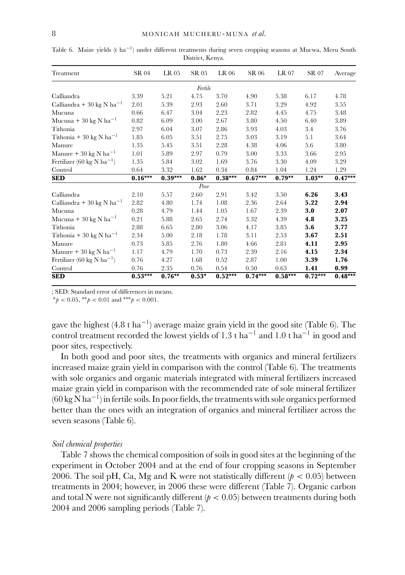| Treatment                              | SR 04     | LR 05     | SR 05   | LR 06     | SR 06     | LR 07     | SR 07     | Average   |
|----------------------------------------|-----------|-----------|---------|-----------|-----------|-----------|-----------|-----------|
|                                        |           |           | Fertile |           |           |           |           |           |
| Calliandra                             | 3.39      | 5.21      | 4.75    | 3.70      | 4.90      | 5.38      | 6.17      | 4.78      |
| Calliandra + 30 kg N ha <sup>-1</sup>  | 2.01      | 5.39      | 2.93    | 2.60      | 3.71      | 3.29      | 4.92      | 3.55      |
| Mucuna                                 | 0.66      | 6.47      | 3.04    | 2.23      | 2.82      | 4.45      | 4.75      | 3.48      |
| Mucuna + 30 kg N ha <sup>-1</sup>      | 0.82      | 6.09      | 3.00    | 2.67      | 3.80      | 4.50      | 6.40      | 3.89      |
| Tithonia                               | 2.97      | 6.04      | 3.07    | 2.86      | 3.93      | 4.03      | 3.4       | 3.76      |
| Tithonia + 30 kg N ha <sup>-1</sup>    | 1.85      | 6.05      | 3.51    | 2.75      | 3.03      | 3.19      | 5.1       | 3.64      |
| Manure                                 | 1.35      | 5.45      | 3.51    | 2.28      | 4.38      | 4.06      | 5.6       | 3.80      |
| Manure + 30 kg N ha <sup>-1</sup>      | 1.01      | 5.89      | 2.97    | 0.79      | 3.00      | 3.33      | 3.66      | 2.95      |
| Fertilizer (60 kg N ha <sup>-1</sup> ) | 1.35      | 5.84      | 3.02    | 1.69      | 3.76      | 3.30      | 4.09      | 3.29      |
| Control                                | 0.64      | 3.32      | 1.62    | 0.34      | 0.84      | 1.04      | 1.24      | 1.29      |
| <b>SED</b>                             | $0.16***$ | $0.39***$ | $0.86*$ | $0.38***$ | $0.67***$ | $0.79**$  | $1.03**$  | $0.47***$ |
|                                        |           |           | Poor    |           |           |           |           |           |
| Calliandra                             | 2.10      | 5.57      | 2.60    | 2.91      | 3.42      | 3.50      | 6.26      | 3.43      |
| Calliandra + 30 kg N ha <sup>-1</sup>  | 2.82      | 4.80      | 1.74    | 1.08      | 2.36      | 2.64      | 5.22      | 2.94      |
| Mucuna                                 | 0.28      | 4.79      | 1.44    | 1.05      | 1.67      | 2.39      | 3.0       | 2.07      |
| Mucuna + 30 kg N ha <sup>-1</sup>      | 0.21      | 5.88      | 2.65    | 2.74      | 3.32      | 4.39      | 4.8       | 3.25      |
| Tithonia                               | 2.88      | 6.65      | 2.80    | 3.06      | 4.17      | 3.85      | 5.6       | 3.77      |
| Tithonia + 30 kg N ha <sup>-1</sup>    | 2.34      | 5.00      | 2.18    | 1.78      | 3.11      | 2.53      | 3.67      | 2.51      |
| Manure                                 | 0.73      | 5.85      | 2.76    | 1.80      | 4.66      | 2.81      | 4.11      | 2.95      |
| Manure + 30 kg N ha <sup>-1</sup>      | 1.17      | 4.79      | 1.70    | 0.73      | 2.39      | 2.16      | 4.15      | 2.34      |
| Fertilizer (60 kg N ha <sup>-1</sup> ) | 0.76      | 4.27      | 1.68    | 0.52      | 2.87      | 1.00      | 3.39      | 1.76      |
| Control                                | 0.76      | 2.35      | 0.76    | 0.54      | 0.50      | 0.63      | 1.41      | 0.99      |
| <b>SED</b>                             | $0.53***$ | $0.76**$  | $0.53*$ | $0.52***$ | $0.74***$ | $0.58***$ | $0.72***$ | $0.48***$ |
|                                        |           |           |         |           |           |           |           |           |

Table 6. Maize yields (t ha−1) under different treatments during seven cropping seasons at Mucwa, Meru South District, Kenya.

; SED: Standard error of differences in means.

∗*p <* 0.05, ∗∗*p <* 0.01 and ∗∗∗*p <* 0.001.

gave the highest  $(4.8 \text{ t} \text{ ha}^{-1})$  average maize grain yield in the good site (Table 6). The control treatment recorded the lowest yields of 1.3 t ha<sup>-1</sup> and 1.0 t ha<sup>-1</sup> in good and poor sites, respectively.

In both good and poor sites, the treatments with organics and mineral fertilizers increased maize grain yield in comparison with the control (Table 6). The treatments with sole organics and organic materials integrated with mineral fertilizers increased maize grain yield in comparison with the recommended rate of sole mineral fertilizer  $(60 \text{ kg N} \text{ ha}^{-1})$  in fertile soils. In poor fields, the treatments with sole organics performed better than the ones with an integration of organics and mineral fertilizer across the seven seasons (Table 6).

## *Soil chemical properties*

Table 7 shows the chemical composition of soils in good sites at the beginning of the experiment in October 2004 and at the end of four cropping seasons in September 2006. The soil pH, Ca, Mg and K were not statistically different  $(p < 0.05)$  between treatments in 2004; however, in 2006 these were different (Table 7). Organic carbon and total N were not significantly different  $(p < 0.05)$  between treatments during both 2004 and 2006 sampling periods (Table 7).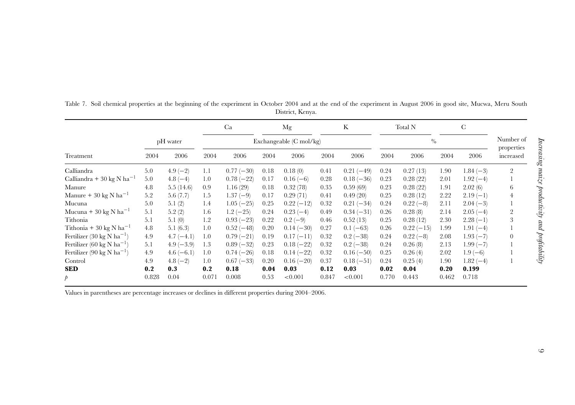|                                        |       |             |                         | Ca          |      | Mg          |       | K           |       | Total N     |       | $\mathcal{C}$ |                         |
|----------------------------------------|-------|-------------|-------------------------|-------------|------|-------------|-------|-------------|-------|-------------|-------|---------------|-------------------------|
|                                        |       | pH water    | Exchangeable (C mol/kg) |             |      |             |       |             |       | $\%$        |       |               |                         |
| Treatment                              | 2004  | 2006        | 2004                    | 2006        | 2004 | 2006        | 2004  | 2006        | 2004  | 2006        | 2004  | 2006          | properties<br>increased |
| Calliandra                             | 5.0   | $4.9(-2)$   | 1.1                     | $0.77(-30)$ | 0.18 | 0.18(0)     | 0.41  | $0.21(-49)$ | 0.24  | 0.27(13)    | 1.90  | $1.84(-3)$    | $\overline{2}$          |
| Calliandra + 30 kg N ha <sup>-1</sup>  | 5.0   | $4.8(-4)$   | 1.0                     | $0.78(-22)$ | 0.17 | $0.16(-6)$  | 0.28  | $0.18(-36)$ | 0.23  | 0.28(22)    | 2.01  | $1.92(-4)$    |                         |
| Manure                                 | 4.8   | 5.5(14.6)   | 0.9                     | 1.16(29)    | 0.18 | 0.32(78)    | 0.35  | 0.59(69)    | 0.23  | 0.28(22)    | 1.91  | 2.02(6)       | h                       |
| Manure + 30 kg N ha <sup>-1</sup>      | 5.2   | 5.6(7.7)    | 1.5                     | $1.37(-9)$  | 0.17 | 0.29(71)    | 0.41  | 0.49(20)    | 0.25  | 0.28(12)    | 2.22  | $2.19(-1)$    |                         |
| Mucuna                                 | 5.0   | 5.1(2)      | 1.4                     | $1.05(-25)$ | 0.25 | $0.22(-12)$ | 0.32  | $0.21(-34)$ | 0.24  | $0.22(-8)$  | 2.11  | $2.04(-3)$    |                         |
| Mucuna + 30 kg N ha <sup>-1</sup>      | 5.1   | 5.2(2)      | 1.6                     | $1.2(-25)$  | 0.24 | $0.23(-4)$  | 0.49  | $0.34(-31)$ | 0.26  | 0.28(8)     | 2.14  | $2.05(-4)$    |                         |
| Tithonia                               | 5.1   | 5.1(0)      | 1.2                     | $0.93(-23)$ | 0.22 | $0.2(-9)$   | 0.46  | 0.52(13)    | 0.25  | 0.28(12)    | 2.30  | $2.28(-1)$    |                         |
| Tithonia + 30 kg N ha <sup>-1</sup>    | 4.8   | 5.1(6.3)    | 1.0                     | $0.52(-48)$ | 0.20 | $0.14(-30)$ | 0.27  | $0.1(-63)$  | 0.26  | $0.22(-15)$ | 1.99  | $1.91(-4)$    |                         |
| Fertilizer (30 kg N ha <sup>-1</sup> ) | 4.9   | $4.7(-4.1)$ | 1.0                     | $0.79(-21)$ | 0.19 | $0.17(-11)$ | 0.32  | $0.2(-38)$  | 0.24  | $0.22(-8)$  | 2.08  | $1.93(-7)$    |                         |
| Fertilizer (60 kg N ha <sup>-1</sup> ) | 5.1   | $4.9(-3.9)$ | 1.3                     | $0.89(-32)$ | 0.23 | $0.18(-22)$ | 0.32  | $0.2(-38)$  | 0.24  | 0.26(8)     | 2.13  | $1.99(-7)$    |                         |
| Fertilizer (90 kg N ha <sup>-1</sup> ) | 4.9   | $4.6(-6.1)$ | 1.0                     | $0.74(-26)$ | 0.18 | $0.14(-22)$ | 0.32  | $0.16(-50)$ | 0.25  | 0.26(4)     | 2.02  | $1.9(-6)$     |                         |
| Control                                | 4.9   | $4.8(-2)$   | 1.0                     | $0.67(-33)$ | 0.20 | $0.16(-20)$ | 0.37  | $0.18(-51)$ | 0.24  | 0.25(4)     | 1.90  | $1.82(-4)$    |                         |
| <b>SED</b>                             | 0.2   | 0.3         | 0.2                     | 0.18        | 0.04 | 0.03        | 0.12  | 0.03        | 0.02  | 0.04        | 0.20  | 0.199         |                         |
| p                                      | 0.828 | 0.04        | 0.071                   | 0.008       | 0.53 | < 0.001     | 0.847 | < 0.001     | 0.770 | 0.443       | 0.462 | 0.718         |                         |

Table 7. Soil chemical properties at the beginning of the experiment in October 2004 and at the end of the experiment in August 2006 in good site, Mucwa, Meru South District, Kenya.

Values in parentheses are percentage increases or declines in different properties during 2004–2006.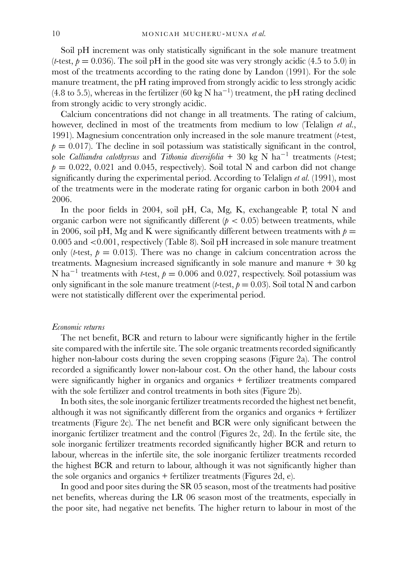Soil pH increment was only statistically significant in the sole manure treatment (*t*-test,  $p = 0.036$ ). The soil pH in the good site was very strongly acidic (4.5 to 5.0) in most of the treatments according to the rating done by Landon (1991). For the sole manure treatment, the pH rating improved from strongly acidic to less strongly acidic (4.8 to 5.5), whereas in the fertilizer (60 kg N ha<sup>-1</sup>) treatment, the pH rating declined from strongly acidic to very strongly acidic.

Calcium concentrations did not change in all treatments. The rating of calcium, however, declined in most of the treatments from medium to low (Telalign *et al*., 1991). Magnesium concentration only increased in the sole manure treatment (*t*-test,  $p = 0.017$ ). The decline in soil potassium was statistically significant in the control, sole *Calliandra calothyrsus* and *Tithonia diversifolia* + 30 kg N ha−<sup>1</sup> treatments (*t*-test;  $p = 0.022, 0.021$  and 0.045, respectively). Soil total N and carbon did not change significantly during the experimental period. According to Telalign *et al*. (1991), most of the treatments were in the moderate rating for organic carbon in both 2004 and 2006.

In the poor fields in 2004, soil pH, Ca, Mg, K, exchangeable P, total N and organic carbon were not significantly different  $(p < 0.05)$  between treatments, while in 2006, soil pH, Mg and K were significantly different between treatments with  $p =$ 0.005 and *<*0.001, respectively (Table 8). Soil pH increased in sole manure treatment only ( $t$ -test,  $p = 0.013$ ). There was no change in calcium concentration across the treatments. Magnesium increased significantly in sole manure and manure + 30 kg N ha<sup>-1</sup> treatments with *t*-test,  $p = 0.006$  and 0.027, respectively. Soil potassium was only significant in the sole manure treatment (*t*-test,  $p = 0.03$ ). Soil total N and carbon were not statistically different over the experimental period.

### *Economic returns*

The net benefit, BCR and return to labour were significantly higher in the fertile site compared with the infertile site. The sole organic treatments recorded significantly higher non-labour costs during the seven cropping seasons (Figure 2a). The control recorded a significantly lower non-labour cost. On the other hand, the labour costs were significantly higher in organics and organics + fertilizer treatments compared with the sole fertilizer and control treatments in both sites (Figure 2b).

In both sites, the sole inorganic fertilizer treatments recorded the highest net benefit, although it was not significantly different from the organics and organics + fertilizer treatments (Figure 2c). The net benefit and BCR were only significant between the inorganic fertilizer treatment and the control (Figures 2c, 2d). In the fertile site, the sole inorganic fertilizer treatments recorded significantly higher BCR and return to labour, whereas in the infertile site, the sole inorganic fertilizer treatments recorded the highest BCR and return to labour, although it was not significantly higher than the sole organics and organics + fertilizer treatments (Figures 2d, e).

In good and poor sites during the SR 05 season, most of the treatments had positive net benefits, whereas during the LR 06 season most of the treatments, especially in the poor site, had negative net benefits. The higher return to labour in most of the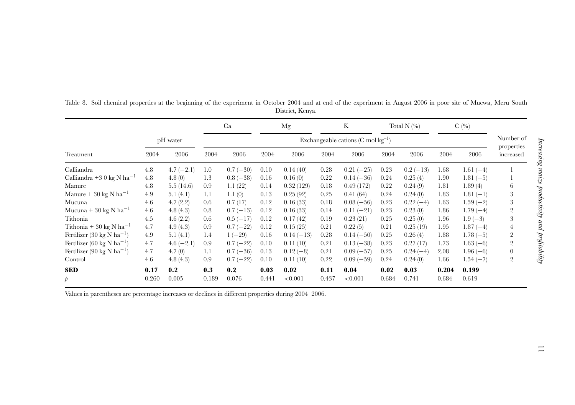|                                        |       |             |       | Ca                                      |       | Mg          |       | $\mathbf K$ |       | Total N $(%)$ |       | C(%)                    |                |
|----------------------------------------|-------|-------------|-------|-----------------------------------------|-------|-------------|-------|-------------|-------|---------------|-------|-------------------------|----------------|
|                                        |       | pH water    |       | Exchangeable cations (C mol $kg^{-1}$ ) |       |             |       |             |       |               |       | Number of<br>properties |                |
| Treatment                              | 2004  | 2006        | 2004  | 2006                                    | 2004  | 2006        | 2004  | 2006        | 2004  | 2006          | 2004  | 2006                    | increased      |
| Calliandra                             | 4.8   | $4.7(-2.1)$ | 1.0   | $0.7(-30)$                              | 0.10  | 0.14(40)    | 0.28  | $0.21(-25)$ | 0.23  | $0.2(-13)$    | 1.68  | $1.61(-4)$              |                |
| Calliandra +3 0 kg N ha <sup>-1</sup>  | 4.8   | 4.8(0)      | 1.3   | $0.8(-38)$                              | 0.16  | 0.16(0)     | 0.22  | $0.14(-36)$ | 0.24  | 0.25(4)       | 1.90  | $1.81(-5)$              |                |
| Manure                                 | 4.8   | 5.5(14.6)   | 0.9   | 1.1(22)                                 | 0.14  | 0.32(129)   | 0.18  | 0.49(172)   | 0.22  | 0.24(9)       | 1.81  | 1.89(4)                 | b              |
| Manure + 30 kg N ha <sup>-1</sup>      | 4.9   | 5.1(4.1)    | 1.1   | 1.1(0)                                  | 0.13  | 0.25(92)    | 0.25  | 0.41(64)    | 0.24  | 0.24(0)       | 1.83  | $1.81(-1)$              | 3              |
| Mucuna                                 | 4.6   | 4.7(2.2)    | 0.6   | 0.7(17)                                 | 0.12  | 0.16(33)    | 0.18  | $0.08(-56)$ | 0.23  | $0.22(-4)$    | 1.63  | $1.59(-2)$              | 3              |
| Mucuna + 30 kg N ha <sup>-1</sup>      | 4.6   | 4.8(4.3)    | 0.8   | $0.7(-13)$                              | 0.12  | 0.16(33)    | 0.14  | $0.11(-21)$ | 0.23  | 0.23(0)       | 1.86  | $1.79(-4)$              | $\overline{2}$ |
| Tithonia                               | 4.5   | 4.6(2.2)    | 0.6   | $0.5(-17)$                              | 0.12  | 0.17(42)    | 0.19  | 0.23(21)    | 0.25  | 0.25(0)       | 1.96  | $1.9(-3)$               | 3              |
| Tithonia + 30 kg N ha <sup>-1</sup>    | 4.7   | 4.9(4.3)    | 0.9   | $0.7(-22)$                              | 0.12  | 0.15(25)    | 0.21  | 0.22(5)     | 0.21  | 0.25(19)      | 1.95  | $1.87(-4)$              | 4              |
| Fertilizer (30 kg N ha <sup>-1</sup> ) | 4.9   | 5.1(4.1)    | 1.4   | $1(-29)$                                | 0.16  | $0.14(-13)$ | 0.28  | $0.14(-50)$ | 0.25  | 0.26(4)       | 1.88  | $1.78(-5)$              | $\overline{2}$ |
| Fertilizer (60 kg N ha <sup>-1</sup>   | 4.7   | $4.6(-2.1)$ | 0.9   | $0.7(-22)$                              | 0.10  | 0.11(10)    | 0.21  | $0.13(-38)$ | 0.23  | 0.27(17)      | 1.73  | $1.63(-6)$              | $\overline{2}$ |
| Fertilizer (90 kg N ha <sup>-1</sup> ) | 4.7   | 4.7(0)      | 1.1   | $0.7(-36)$                              | 0.13  | $0.12(-8)$  | 0.21  | $0.09(-57)$ | 0.25  | $0.24(-4)$    | 2.08  | $1.96(-6)$              | $\left($       |
| Control                                | 4.6   | 4.8(4.3)    | 0.9   | $0.7(-22)$                              | 0.10  | 0.11(10)    | 0.22  | $0.09(-59)$ | 0.24  | 0.24(0)       | 1.66  | $1.54(-7)$              | $\overline{2}$ |
| <b>SED</b>                             | 0.17  | 0.2         | 0.3   | 0.2                                     | 0.03  | 0.02        | 0.11  | 0.04        | 0.02  | 0.03          | 0.204 | 0.199                   |                |
| p                                      | 0.260 | 0.005       | 0.189 | 0.076                                   | 0.441 | < 0.001     | 0.437 | < 0.001     | 0.684 | 0.741         | 0.684 | 0.619                   |                |

Table 8. Soil chemical properties at the beginning of the experiment in October 2004 and at end of the experiment in August 2006 in poor site of Mucwa, Meru South District, Kenya.

Values in parentheses are percentage increases or declines in different properties during 2004–2006.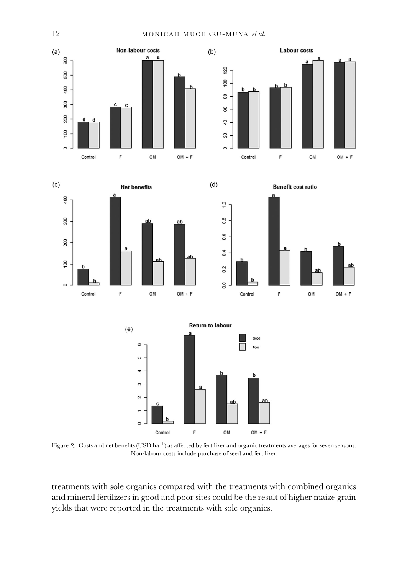





Figure 2. Costs and net benefits (USD  $ha^{-1}$ ) as affected by fertilizer and organic treatments averages for seven seasons. Non-labour costs include purchase of seed and fertilizer.

treatments with sole organics compared with the treatments with combined organics and mineral fertilizers in good and poor sites could be the result of higher maize grain yields that were reported in the treatments with sole organics.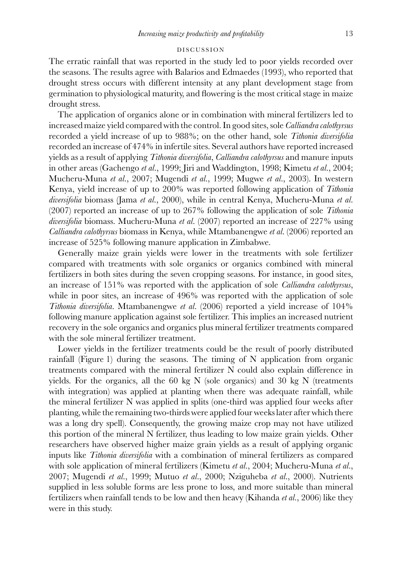#### DISCUSSION

The erratic rainfall that was reported in the study led to poor yields recorded over the seasons. The results agree with Balarios and Edmaedes (1993), who reported that drought stress occurs with different intensity at any plant development stage from germination to physiological maturity, and flowering is the most critical stage in maize drought stress.

The application of organics alone or in combination with mineral fertilizers led to increased maize yield compared with the control. In good sites, sole *Calliandra calothyrsus* recorded a yield increase of up to 988%; on the other hand, sole *Tithonia diversifolia* recorded an increase of 474% in infertile sites. Several authors have reported increased yields as a result of applying *Tithonia diversifolia*, *Calliandra calothyrsus* and manure inputs in other areas (Gachengo *et al*., 1999; Jiri and Waddington, 1998; Kimetu *et al*., 2004; Mucheru-Muna *et al*., 2007; Mugendi *et al*., 1999; Mugwe *et al*., 2003). In western Kenya, yield increase of up to 200% was reported following application of *Tithonia diversifolia* biomass (Jama *et al*., 2000), while in central Kenya, Mucheru-Muna *et al*. (2007) reported an increase of up to 267% following the application of sole *Tithonia diversifolia* biomass. Mucheru-Muna *et al*. (2007) reported an increase of 227% using *Calliandra calothyrsus* biomass in Kenya, while Mtambanengwe *et al*. (2006) reported an increase of 525% following manure application in Zimbabwe.

Generally maize grain yields were lower in the treatments with sole fertilizer compared with treatments with sole organics or organics combined with mineral fertilizers in both sites during the seven cropping seasons. For instance, in good sites, an increase of 151% was reported with the application of sole *Calliandra calothyrsus*, while in poor sites, an increase of 496% was reported with the application of sole *Tithonia diversifolia*. Mtambanengwe *et al*. (2006) reported a yield increase of 104% following manure application against sole fertilizer. This implies an increased nutrient recovery in the sole organics and organics plus mineral fertilizer treatments compared with the sole mineral fertilizer treatment.

Lower yields in the fertilizer treatments could be the result of poorly distributed rainfall (Figure 1) during the seasons. The timing of N application from organic treatments compared with the mineral fertilizer N could also explain difference in yields. For the organics, all the 60 kg N (sole organics) and 30 kg N (treatments with integration) was applied at planting when there was adequate rainfall, while the mineral fertilizer N was applied in splits (one-third was applied four weeks after planting, while the remaining two-thirds were applied four weeks later after which there was a long dry spell). Consequently, the growing maize crop may not have utilized this portion of the mineral N fertilizer, thus leading to low maize grain yields. Other researchers have observed higher maize grain yields as a result of applying organic inputs like *Tithonia diversifolia* with a combination of mineral fertilizers as compared with sole application of mineral fertilizers (Kimetu *et al*., 2004; Mucheru-Muna *et al*., 2007; Mugendi *et al*., 1999; Mutuo *et al*., 2000; Nziguheba *et al*., 2000). Nutrients supplied in less soluble forms are less prone to loss, and more suitable than mineral fertilizers when rainfall tends to be low and then heavy (Kihanda *et al*., 2006) like they were in this study.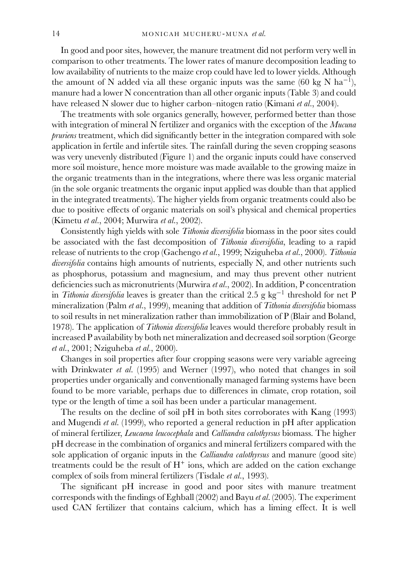In good and poor sites, however, the manure treatment did not perform very well in comparison to other treatments. The lower rates of manure decomposition leading to low availability of nutrients to the maize crop could have led to lower yields. Although the amount of N added via all these organic inputs was the same (60 kg N ha<sup>-1</sup>), manure had a lower N concentration than all other organic inputs (Table 3) and could have released N slower due to higher carbon–nitogen ratio (Kimani *et al*., 2004).

The treatments with sole organics generally, however, performed better than those with integration of mineral N fertilizer and organics with the exception of the *Mucuna pruriens* treatment, which did significantly better in the integration compared with sole application in fertile and infertile sites. The rainfall during the seven cropping seasons was very unevenly distributed (Figure 1) and the organic inputs could have conserved more soil moisture, hence more moisture was made available to the growing maize in the organic treatments than in the integrations, where there was less organic material (in the sole organic treatments the organic input applied was double than that applied in the integrated treatments). The higher yields from organic treatments could also be due to positive effects of organic materials on soil's physical and chemical properties (Kimetu *et al*., 2004; Murwira *et al*., 2002).

Consistently high yields with sole *Tithonia diversifolia* biomass in the poor sites could be associated with the fast decomposition of *Tithonia diversifolia*, leading to a rapid release of nutrients to the crop (Gachengo *et al*., 1999; Nziguheba *et al*., 2000). *Tithonia diversifolia* contains high amounts of nutrients, especially N, and other nutrients such as phosphorus, potassium and magnesium, and may thus prevent other nutrient deficiencies such as micronutrients (Murwira *et al*., 2002). In addition, P concentration in *Tithonia diversifolia* leaves is greater than the critical 2.5 g kg−<sup>1</sup> threshold for net P mineralization (Palm *et al*., 1999), meaning that addition of *Tithonia diversifolia* biomass to soil results in net mineralization rather than immobilization of P (Blair and Boland, 1978). The application of *Tithonia diversifolia* leaves would therefore probably result in increased P availability by both net mineralization and decreased soil sorption (George *et al*., 2001; Nziguheba *et al*., 2000).

Changes in soil properties after four cropping seasons were very variable agreeing with Drinkwater *et al*. (1995) and Werner (1997), who noted that changes in soil properties under organically and conventionally managed farming systems have been found to be more variable, perhaps due to differences in climate, crop rotation, soil type or the length of time a soil has been under a particular management.

The results on the decline of soil pH in both sites corroborates with Kang (1993) and Mugendi *et al*. (1999), who reported a general reduction in pH after application of mineral fertilizer, *Leucaena leucocephala* and *Calliandra calothyrsus* biomass. The higher pH decrease in the combination of organics and mineral fertilizers compared with the sole application of organic inputs in the *Calliandra calothyrsus* and manure (good site) treatments could be the result of  $H^+$  ions, which are added on the cation exchange complex of soils from mineral fertilizers (Tisdale *et al*., 1993).

The significant pH increase in good and poor sites with manure treatment corresponds with the findings of Eghball (2002) and Bayu *et al*. (2005). The experiment used CAN fertilizer that contains calcium, which has a liming effect. It is well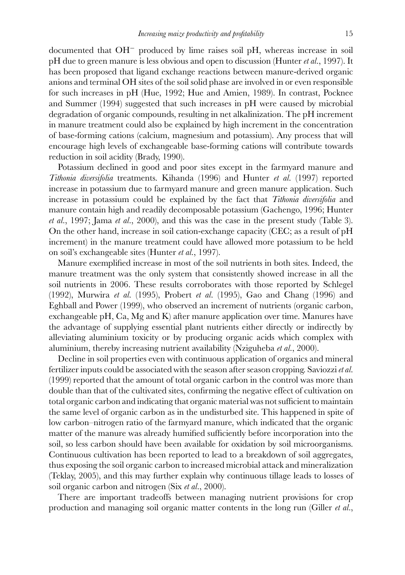documented that OH<sup>−</sup> produced by lime raises soil pH, whereas increase in soil pH due to green manure is less obvious and open to discussion (Hunter *et al*., 1997). It has been proposed that ligand exchange reactions between manure-derived organic anions and terminal OH sites of the soil solid phase are involved in or even responsible for such increases in pH (Hue, 1992; Hue and Amien, 1989). In contrast, Pocknee and Summer (1994) suggested that such increases in pH were caused by microbial degradation of organic compounds, resulting in net alkalinization. The pH increment in manure treatment could also be explained by high increment in the concentration of base-forming cations (calcium, magnesium and potassium). Any process that will encourage high levels of exchangeable base-forming cations will contribute towards reduction in soil acidity (Brady, 1990).

Potassium declined in good and poor sites except in the farmyard manure and *Tithonia diversifolia* treatments. Kihanda (1996) and Hunter *et al*. (1997) reported increase in potassium due to farmyard manure and green manure application. Such increase in potassium could be explained by the fact that *Tithonia diversifolia* and manure contain high and readily decomposable potassium (Gachengo, 1996; Hunter *et al*., 1997; Jama *et al*., 2000), and this was the case in the present study (Table 3). On the other hand, increase in soil cation-exchange capacity (CEC; as a result of pH increment) in the manure treatment could have allowed more potassium to be held on soil's exchangeable sites (Hunter *et al*., 1997).

Manure exemplified increase in most of the soil nutrients in both sites. Indeed, the manure treatment was the only system that consistently showed increase in all the soil nutrients in 2006. These results corroborates with those reported by Schlegel (1992), Murwira *et al*. (1995), Probert *et al*. (1995), Gao and Chang (1996) and Eghball and Power (1999), who observed an increment of nutrients (organic carbon, exchangeable pH, Ca, Mg and K) after manure application over time. Manures have the advantage of supplying essential plant nutrients either directly or indirectly by alleviating aluminium toxicity or by producing organic acids which complex with aluminium, thereby increasing nutrient availability (Nziguheba *et al*., 2000).

Decline in soil properties even with continuous application of organics and mineral fertilizer inputs could be associated with the season after season cropping. Saviozzi *et al*. (1999) reported that the amount of total organic carbon in the control was more than double than that of the cultivated sites, confirming the negative effect of cultivation on total organic carbon and indicating that organic material was not sufficient to maintain the same level of organic carbon as in the undisturbed site. This happened in spite of low carbon–nitrogen ratio of the farmyard manure, which indicated that the organic matter of the manure was already humified sufficiently before incorporation into the soil, so less carbon should have been available for oxidation by soil microorganisms. Continuous cultivation has been reported to lead to a breakdown of soil aggregates, thus exposing the soil organic carbon to increased microbial attack and mineralization (Teklay, 2005), and this may further explain why continuous tillage leads to losses of soil organic carbon and nitrogen (Six *et al*., 2000).

There are important tradeoffs between managing nutrient provisions for crop production and managing soil organic matter contents in the long run (Giller *et al*.,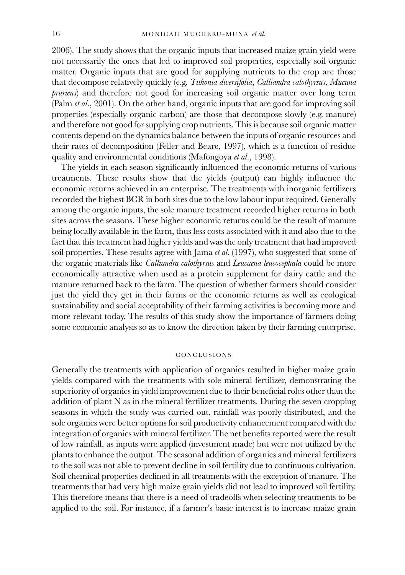2006). The study shows that the organic inputs that increased maize grain yield were not necessarily the ones that led to improved soil properties, especially soil organic matter. Organic inputs that are good for supplying nutrients to the crop are those that decompose relatively quickly (e.g. *Tithonia diversifolia*, *Calliandra calothyrsus*, *Mucuna pruriens*) and therefore not good for increasing soil organic matter over long term (Palm *et al*., 2001). On the other hand, organic inputs that are good for improving soil properties (especially organic carbon) are those that decompose slowly (e.g. manure) and therefore not good for supplying crop nutrients. This is because soil organic matter contents depend on the dynamics balance between the inputs of organic resources and their rates of decomposition (Feller and Beare, 1997), which is a function of residue quality and environmental conditions (Mafongoya *et al*., 1998).

The yields in each season significantly influenced the economic returns of various treatments. These results show that the yields (output) can highly influence the economic returns achieved in an enterprise. The treatments with inorganic fertilizers recorded the highest BCR in both sites due to the low labour input required. Generally among the organic inputs, the sole manure treatment recorded higher returns in both sites across the seasons. These higher economic returns could be the result of manure being locally available in the farm, thus less costs associated with it and also due to the fact that this treatment had higher yields and was the only treatment that had improved soil properties. These results agree with Jama *et al*. (1997), who suggested that some of the organic materials like *Calliandra calothyrsus* and *Leucaena leucocephala* could be more economically attractive when used as a protein supplement for dairy cattle and the manure returned back to the farm. The question of whether farmers should consider just the yield they get in their farms or the economic returns as well as ecological sustainability and social acceptability of their farming activities is becoming more and more relevant today. The results of this study show the importance of farmers doing some economic analysis so as to know the direction taken by their farming enterprise.

#### CONCLUSIONS

Generally the treatments with application of organics resulted in higher maize grain yields compared with the treatments with sole mineral fertilizer, demonstrating the superiority of organics in yield improvement due to their beneficial roles other than the addition of plant N as in the mineral fertilizer treatments. During the seven cropping seasons in which the study was carried out, rainfall was poorly distributed, and the sole organics were better options for soil productivity enhancement compared with the integration of organics with mineral fertilizer. The net benefits reported were the result of low rainfall, as inputs were applied (investment made) but were not utilized by the plants to enhance the output. The seasonal addition of organics and mineral fertilizers to the soil was not able to prevent decline in soil fertility due to continuous cultivation. Soil chemical properties declined in all treatments with the exception of manure. The treatments that had very high maize grain yields did not lead to improved soil fertility. This therefore means that there is a need of tradeoffs when selecting treatments to be applied to the soil. For instance, if a farmer's basic interest is to increase maize grain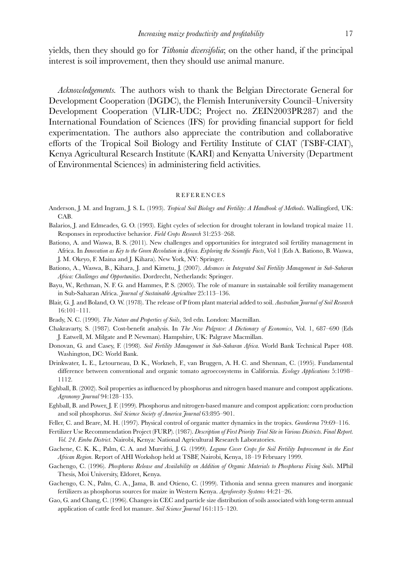yields, then they should go for *Tithonia diversifolia*; on the other hand, if the principal interest is soil improvement, then they should use animal manure.

*Acknowledgements.* The authors wish to thank the Belgian Directorate General for Development Cooperation (DGDC), the Flemish Interuniversity Council–University Development Cooperation (VLIR-UDC; Project no. ZEIN2003PR287) and the International Foundation of Sciences (IFS) for providing financial support for field experimentation. The authors also appreciate the contribution and collaborative efforts of the Tropical Soil Biology and Fertility Institute of CIAT (TSBF-CIAT), Kenya Agricultural Research Institute (KARI) and Kenyatta University (Department of Environmental Sciences) in administering field activities.

#### REFERENCES

- Anderson, J. M. and Ingram, J. S. L. (1993). *Tropical Soil Biology and Fertility: A Handbook of Methods*. Wallingford, UK: CAB.
- Balarios, J. and Edmeades, G. O. (1993). Eight cycles of selection for drought tolerant in lowland tropical maize 11. Responses in reproductive behavior. *Field Crops Research* 31:253–268.
- Bationo, A. and Waswa, B. S. (2011). New challenges and opportunities for integrated soil fertility management in Africa. In *Innovation as Key to the Green Revolution in Africa. Exploring the Scientific Facts*, Vol 1 (Eds A. Bationo, B. Waswa, J. M. Okeyo, F. Maina and J. Kihara). New York, NY: Springer.
- Bationo, A., Waswa, B., Kihara, J. and Kimetu, J. (2007). *Advances in Integrated Soil Fertility Management in Sub-Saharan Africa: Challenges and Opportunities*. Dordrecht, Netherlands: Springer.
- Bayu, W., Rethman, N. F. G. and Hammes, P. S. (2005). The role of manure in sustainable soil fertility management in Sub-Saharan Africa. *Journal of Sustainable Agriculture* 25:113–136.
- Blair, G. J. and Boland, O. W. (1978). The release of P from plant material added to soil. *Australian Journal of Soil Research* 16:101–111.
- Brady, N. C. (1990). *The Nature and Properties of Soils*, 3rd edn. London: Macmillan.
- Chakravarty, S. (1987). Cost-benefit analysis. In *The New Palgrave: A Dictionary of Economics*, Vol. 1, 687–690 (Eds J. Eatwell, M. Milgate and P. Newman). Hampshire, UK: Palgrave Macmillan.
- Donovan, G. and Casey, F. (1998). *Soil Fertility Management in Sub-Saharan Africa*. World Bank Technical Paper 408. Washington, DC: World Bank.
- Drinkwater, L. E., Letourneau, D. K., Workneh, F., van Bruggen, A. H. C. and Shennan, C. (1995). Fundamental difference between conventional and organic tomato agroecosystems in California. *Ecology Applications* 5:1098– 1112.
- Eghball, B. (2002). Soil properties as influenced by phosphorus and nitrogen based manure and compost applications. *Agronomy Journal* 94:128–135.
- Eghball, B. and Power, J. F. (1999). Phosphorus and nitrogen-based manure and compost application: corn production and soil phosphorus. *Soil Science Society of America Journal* 63:895–901.
- Feller, C. and Beare, M. H. (1997). Physical control of organic matter dynamics in the tropics. *Georderma* 79:69–116.
- Fertilizer Use Recommendation Project (FURP). (1987). *Description of First Priority Trial Site in Various Districts. Final Report. Vol. 24. Embu District*. Nairobi, Kenya: National Agricultural Research Laboratories.
- Gachene, C. K. K., Palm, C. A. and Mureithi, J. G. (1999). *Legume Cover Crops for Soil Fertility Improvement in the East African Region*. Report of AHI Workshop held at TSBF, Nairobi, Kenya, 18–19 February 1999.
- Gachengo, C. (1996). *Phosphorus Release and Availability on Addition of Organic Materials to Phosphorus Fixing Soils*. MPhil Thesis, Moi University, Eldoret, Kenya.
- Gachengo, C. N., Palm, C. A., Jama, B. and Otieno, C. (1999). Tithonia and senna green manures and inorganic fertilizers as phosphorus sources for maize in Western Kenya. *Agroforestry Systems* 44:21–26.
- Gao, G. and Chang, C. (1996). Changes in CEC and particle size distribution of soils associated with long-term annual application of cattle feed lot manure. *Soil Science Journal* 161:115–120.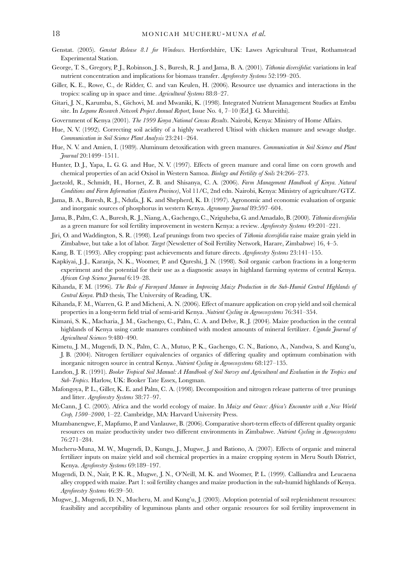- Genstat. (2005). *Genstat Release 8.1 for Windows*. Hertfordshire, UK: Lawes Agricultural Trust, Rothamstead Experimental Station.
- George, T. S., Gregory, P. J., Robinson, J. S., Buresh, R. J. and Jama, B. A. (2001). *Tithonia diversifolia*: variations in leaf nutrient concentration and implications for biomass transfer. *Agroforestry Systems* 52:199–205.
- Giller, K. E., Rowe, C., de Ridder, C. and van Keulen, H. (2006). Resource use dynamics and interactions in the tropics: scaling up in space and time. *Agricultural Systems* 88:8–27.
- Gitari, J. N., Karumba, S., Gichovi, M. and Mwaniki, K. (1998). Integrated Nutrient Management Studies at Embu site. In *Legume Research Network Project Annual Report*, Issue No. 4, 7–10 (Ed J. G. Mureithi).
- Government of Kenya (2001). *The 1999 Kenya National Census Results*. Nairobi, Kenya: Ministry of Home Affairs.
- Hue, N. V. (1992). Correcting soil acidity of a highly weathered Ultisol with chicken manure and sewage sludge. *Communication in Soil Science Plant Analysis* 23:241–264.
- Hue, N. V. and Amien, I. (1989). Aluminum detoxification with green manures. *Communication in Soil Science and Plant Journal* 20:1499–1511.
- Hunter, D. J., Yapa, L. G. G. and Hue, N. V. (1997). Effects of green manure and coral lime on corn growth and chemical properties of an acid Oxisol in Western Samoa. *Biology and Fertility of Soils* 24:266–273.
- Jaetzold, R., Schmidt, H., Hornet, Z. B. and Shisanya, C. A. (2006). *Farm Management Handbook of Kenya. Natural Conditions and Farm Information (Eastern Province)*, Vol 11/C, 2nd edn. Nairobi, Kenya: Ministry of agriculture/GTZ.
- Jama, B. A., Buresh, R. J., Ndufa, J. K. and Shepherd, K. D. (1997). Agronomic and economic evaluation of organic and inorganic sources of phosphorus in western Kenya. *Agronomy Journal* 89:597–604.
- Jama, B., Palm, C. A., Buresh, R. J., Niang, A., Gachengo, C., Nziguheba, G. and Amadalo, B. (2000).*Tithonia diversifolia* as a green manure for soil fertility improvement in western Kenya: a review. *Agroforestry Systems* 49:201–221.
- Jiri, O. and Waddington, S. R. (1998). Leaf prunings from two species of *Tithonia diversifolia* raise maize grain yield in Zimbabwe, but take a lot of labor. *Target* (Newsletter of Soil Fertility Network, Harare, Zimbabwe) 16, 4–5.
- Kang, B. T. (1993). Alley cropping: past achievements and future directs. *Agroforestry Systems* 23:141–155.
- Kapkiyai, J. J., Karanja, N. K., Woomer, P. and Qureshi, J. N. (1998). Soil organic carbon fractions in a long-term experiment and the potential for their use as a diagnostic assays in highland farming systems of central Kenya. *African Crop Science Journal* 6:19–28.
- Kihanda, F. M. (1996). *The Role of Farmyard Manure in Improving Maize Production in the Sub-Humid Central Highlands of Central Kenya*. PhD thesis, The University of Reading, UK.
- Kihanda, F. M., Warren, G. P. and Micheni, A. N. (2006). Effect of manure application on crop yield and soil chemical properties in a long-term field trial of semi-arid Kenya. *Nutrient Cycling in Agroecosystems* 76:341–354.
- Kimani, S. K., Macharia, J. M., Gachengo, C., Palm, C. A. and Delve, R. J. (2004). Maize production in the central highlands of Kenya using cattle manures combined with modest amounts of mineral fertilizer. *Uganda Journal of Agricultural Sciences* 9:480–490.
- Kimetu, J. M., Mugendi, D. N., Palm, C. A., Mutuo, P. K., Gachengo, C. N., Bationo, A., Nandwa, S. and Kung'u, J. B. (2004). Nitrogen fertilizer equivalencies of organics of differing quality and optimum combination with inorganic nitrogen source in central Kenya. *Nutrient Cycling in Agroecosystems* 68:127–135.
- Landon, J. R. (1991). *Booker Tropical Soil Manual: A Handbook of Soil Survey and Agricultural and Evaluation in the Tropics and Sub-Tropics*. Harlow, UK: Booker Tate Essex, Longman.
- Mafongoya, P. L., Giller, K. E. and Palm, C. A. (1998). Decomposition and nitrogen release patterns of tree prunings and litter. *Agroforestry Systems* 38:77–97.
- McCann, J. C. (2005). Africa and the world ecology of maize. In *Maize and Grace: Africa's Encounter with a New World Crop, 1500–2000*, 1–22. Cambridge, MA: Harvard University Press.
- Mtambanengwe, F., Mapfumo, P. and Vanlauwe, B. (2006). Comparative short-term effects of different quality organic resources on maize productivity under two different environments in Zimbabwe. *Nutrient Cycling in Agroecosystems* 76:271–284.
- Mucheru-Muna, M. W., Mugendi, D., Kungu, J., Mugwe, J. and Bationo, A. (2007). Effects of organic and mineral fertilizer inputs on maize yield and soil chemical properties in a maize cropping system in Meru South District, Kenya. *Agroforestry Systems* 69:189–197.
- Mugendi, D. N., Nair, P. K. R., Mugwe, J. N., O'Neill, M. K. and Woomer, P. L. (1999). Calliandra and Leucaena alley cropped with maize. Part 1: soil fertility changes and maize production in the sub-humid highlands of Kenya. *Agroforestry Systems* 46:39–50.
- Mugwe, J., Mugendi, D. N., Mucheru, M. and Kung'u, J. (2003). Adoption potential of soil replenishment resources: feasibility and acceptibility of leguminous plants and other organic resources for soil fertility improvement in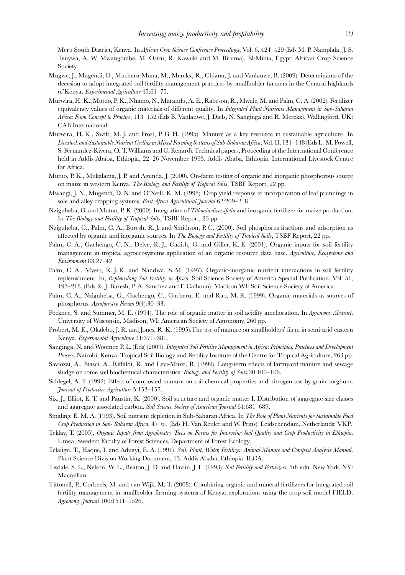Meru South District, Kenya. In *African Crop Science Conference Proceedings*, Vol. 6, 424–429 (Eds M. P. Namplala, J. S. Tenywa, A. W. Mwangombe, M. Osiru, R. Kawuki and M. Biruma). El-Minia, Egypt: African Crop Science Society.

- Mugwe, J., Mugendi, D., Mucheru-Muna, M., Merckx, R., Chianu, J. and Vanlauwe, B. (2009). Determinants of the decesion to adopt integrated soil fertility management practices by smallholder farmers in the Central highlands of Kenya. *Experimental Agriculture* 45:61–75.
- Murwira, H. K., Mutuo, P. K., Nhamo, N., Marandu, A. E., Rabeson, R., Mwale, M. and Palm, C. A. (2002). Fertilizer equivalency values of organic materials of different quality. In *Integrated Plant Nutrients Management in Sub-Saharan Africa: From Concept to Practice*, 113–152 (Eds B. Vanlauwe, J. Diels, N. Sanginga and R. Merckx). Wallingford, UK: CAB International.
- Murwira, H. K., Swift, M. J. and Frost, P. G. H. (1995). Manure as a key resource in sustainable agriculture. In *Livestock and Sustainable Nutrient Cycling in Mixed Farming Systems of Sub-Saharan Africa*, Vol. II, 131–148 (Eds L. M. Powell, S. Fernandez-Rivera, O. T. Williams and C. Renard). Technical papers, Proceeding of the International Conference held in Addis Ababa, Ethiopia, 22–26 November 1993. Addis Ababa, Ethiopia: International Livestock Centre for Africa.
- Mutuo, P. K., Mukalama, J. P. and Agunda, J. (2000). On-farm testing of organic and inorganic phosphorous source on maize in western Kenya. *The Biology and Fertility of Tropical Soils*, TSBF Report, 22 pp.
- Mwangi, J. N., Mugendi, D. N. and O'Neill, K. M. (1998). Crop yield response to incorporation of leaf prunnings in sole and alley cropping systems. *East Africa Agricultural Journal* 62:209–218.
- Nziguheba, G. and Mutuo, P. K. (2000). Integration of *Tithonia diversifolia* and inorganic fertilizer for maize production. In *The Biology and Fertility of Tropical Soils*, TSBF Report, 23 pp.
- Nziguheba, G., Palm, C. A., Buresh, R. J. and Smithson, P. C. (2000). Soil phosphorus fractions and adsorption as affected by organic and inorganic sources. In *The Biology and Fertility of Tropical Soils*, TSBF Report, 22 pp.
- Palm, C. A., Gachengo, C. N., Delve, R. J., Cadish, G. and Giller, K. E. (2001). Organic inputs for soil fertility management in tropical agroecosystems application of an organic resource data base. *Agriculture, Ecosystems and Environment* 83:27–42.
- Palm, C. A., Myers, R. J. K. and Nandwa, S. M. (1997). Organic-inorganic nutrient interactions in soil fertility replenishment. In, *Replenishing Soil Fertility in Africa*. Soil Science Society of America Special Publication, Vol. 51, 193–218, (Eds R. J. Buresh, P. A. Sanchez and F. Calhoun). Madison WI: Soil Science Society of America.
- Palm, C. A., Nziguheba, G., Gachengo, C., Gacheru, E. and Rao, M. R. (1999). Organic materials as sources of phosphorus. *Agroforestry Forum* 9(4):30–33.
- Pocknee, S. and Summer, M. E. (1994). The role of organic matter in soil acidity amelioration. In *Agronomy Abstract*. University of Wisconsin, Madison, WI: American Society of Agronomy, 260 pp.
- Probert, M. E., Okalebo, J. R. and Jones, R. K. (1995).The use of manure on smallholders' farm in semi-arid eastern Kenya. *Experimental Agriculture* 31:371–381.
- Sanginga, N. and Woomer, P. L. (Eds) (2009). *Integrated Soil Fertility Management in Africa: Principles, Practices and Development Process*. Nairobi, Kenya: Tropical Soil Biology and Fertility Institute of the Centre for Tropical Agriculture, 263 pp.
- Saviozzi, A., Biasci, A., Riffaldi, R. and Levi-Minzi, R. (1999). Long-term effects of farmyard manure and sewage sludge on some soil biochemical characteristics. *Biology and Fertility of Soils* 30:100–106.
- Schlegel, A. T. (1992). Effect of composted manure on soil chemical properties and nitrogen use by grain sorghum. *Journal of Productive Agriculture* 5:153–157.
- Six, J., Elliot, E. T. and Paustin, K. (2000). Soil structure and organic matter I. Distribution of aggregate-size classes and aggregate associated carbon. *Soil Science Society of American Journal* 64:681–689.
- Smaling, E. M. A. (1993). Soil nutrient depletion in Sub-Saharan Africa. In *The Role of Plant Nutrients for Sustainable Food Crop Production in Sub- Saharan Africa*, 47–61 (Eds H. Van Reuler and W. Prins). Leidschendam, Netherlands: VKP.
- Teklay, T. (2005). *Organic Inputs from Agroforestry Trees on Farms for Improving Soil Quality and Crop Productivity in Ethiopia*. Umea, Sweden: Faculty of Forest Sciences, Department of Forest Ecology.
- Telalign, T., Haque, I. and Aduayi, E. A. (1991). *Soil, Plant, Water, Fertilizer, Animal Manure and Compost Analysis Manual*. Plant Science Division Working Document, 13. Addis Ababa, Ethiopia: ILCA.
- Tisdale, S. L., Nelson, W. L., Beaton, J. D. and Havlin, J. L. (1993). *Soil Fertility and Fertilizers*, 5th edn. New York, NY: Macmillan.
- Tittonell, P., Corbeels, M. and van Wijk, M. T. (2008). Combining organic and mineral fertilizers for integrated soil fertility management in smallholder farming systems of Kenya: explorations using the crop-soil model FIELD. *Agronomy Journal* 100:1511–1526.